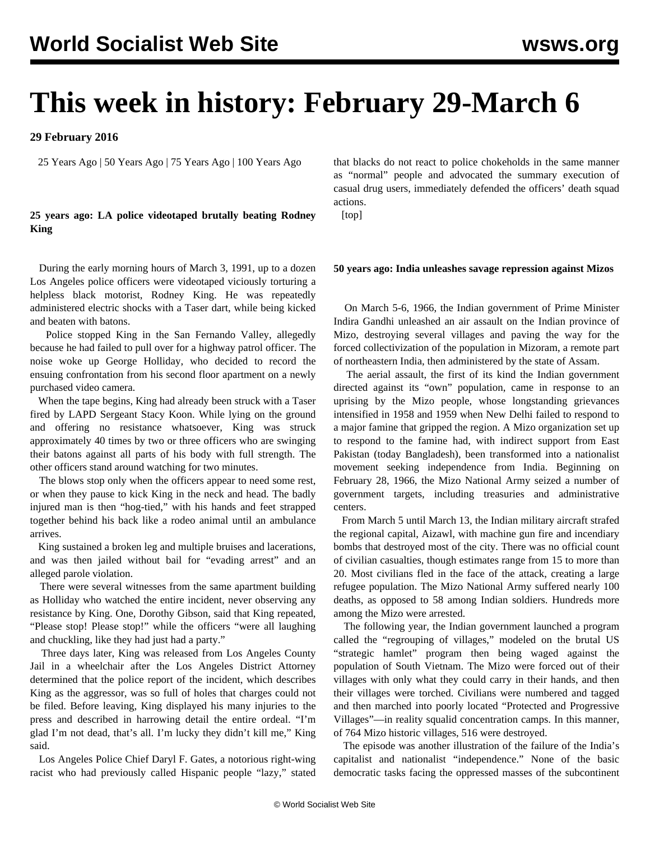# **This week in history: February 29-March 6**

**29 February 2016**

25 Years Ago | 50 Years Ago | 75 Years Ago | 100 Years Ago

## **25 years ago: LA police videotaped brutally beating Rodney King**

 During the early morning hours of March 3, 1991, up to a dozen Los Angeles police officers were videotaped viciously torturing a helpless black motorist, Rodney King. He was repeatedly administered electric shocks with a Taser dart, while being kicked and beaten with batons.

 Police stopped King in the San Fernando Valley, allegedly because he had failed to pull over for a highway patrol officer. The noise woke up George Holliday, who decided to record the ensuing confrontation from his second floor apartment on a newly purchased video camera.

 When the tape begins, King had already been struck with a Taser fired by LAPD Sergeant Stacy Koon. While lying on the ground and offering no resistance whatsoever, King was struck approximately 40 times by two or three officers who are swinging their batons against all parts of his body with full strength. The other officers stand around watching for two minutes.

 The blows stop only when the officers appear to need some rest, or when they pause to kick King in the neck and head. The badly injured man is then "hog-tied," with his hands and feet strapped together behind his back like a rodeo animal until an ambulance arrives.

 King sustained a broken leg and multiple bruises and lacerations, and was then jailed without bail for "evading arrest" and an alleged parole violation.

 There were several witnesses from the same apartment building as Holliday who watched the entire incident, never observing any resistance by King. One, Dorothy Gibson, said that King repeated, "Please stop! Please stop!" while the officers "were all laughing and chuckling, like they had just had a party."

 Three days later, King was released from Los Angeles County Jail in a wheelchair after the Los Angeles District Attorney determined that the police report of the incident, which describes King as the aggressor, was so full of holes that charges could not be filed. Before leaving, King displayed his many injuries to the press and described in harrowing detail the entire ordeal. "I'm glad I'm not dead, that's all. I'm lucky they didn't kill me," King said.

 Los Angeles Police Chief Daryl F. Gates, a notorious right-wing racist who had previously called Hispanic people "lazy," stated

that blacks do not react to police chokeholds in the same manner as "normal" people and advocated the summary execution of casual drug users, immediately defended the officers' death squad actions.

[top]

#### **50 years ago: India unleashes savage repression against Mizos**

 On March 5-6, 1966, the Indian government of Prime Minister Indira Gandhi unleashed an air assault on the Indian province of Mizo, destroying several villages and paving the way for the forced collectivization of the population in Mizoram, a remote part of northeastern India, then administered by the state of Assam.

 The aerial assault, the first of its kind the Indian government directed against its "own" population, came in response to an uprising by the Mizo people, whose longstanding grievances intensified in 1958 and 1959 when New Delhi failed to respond to a major famine that gripped the region. A Mizo organization set up to respond to the famine had, with indirect support from East Pakistan (today Bangladesh), been transformed into a nationalist movement seeking independence from India. Beginning on February 28, 1966, the Mizo National Army seized a number of government targets, including treasuries and administrative centers.

 From March 5 until March 13, the Indian military aircraft strafed the regional capital, Aizawl, with machine gun fire and incendiary bombs that destroyed most of the city. There was no official count of civilian casualties, though estimates range from 15 to more than 20. Most civilians fled in the face of the attack, creating a large refugee population. The Mizo National Army suffered nearly 100 deaths, as opposed to 58 among Indian soldiers. Hundreds more among the Mizo were arrested.

 The following year, the Indian government launched a program called the "regrouping of villages," modeled on the brutal US "strategic hamlet" program then being waged against the population of South Vietnam. The Mizo were forced out of their villages with only what they could carry in their hands, and then their villages were torched. Civilians were numbered and tagged and then marched into poorly located "Protected and Progressive Villages"—in reality squalid concentration camps. In this manner, of 764 Mizo historic villages, 516 were destroyed.

 The episode was another illustration of the failure of the India's capitalist and nationalist "independence." None of the basic democratic tasks facing the oppressed masses of the subcontinent